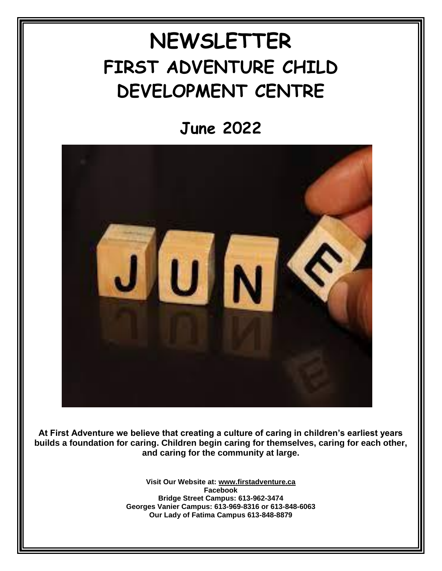## **NEWSLETTER FIRST ADVENTURE CHILD DEVELOPMENT CENTRE**

**June 2022**



**At First Adventure we believe that creating a culture of caring in children's earliest years builds a foundation for caring. Children begin caring for themselves, caring for each other, and caring for the community at large.**

> **Visit Our Website at: [www.firstadventure.ca](http://www.firstadventure.ca/) Facebook Bridge Street Campus: 613-962-3474 Georges Vanier Campus: 613-969-8316 or 613-848-6063 Our Lady of Fatima Campus 613-848-8879**